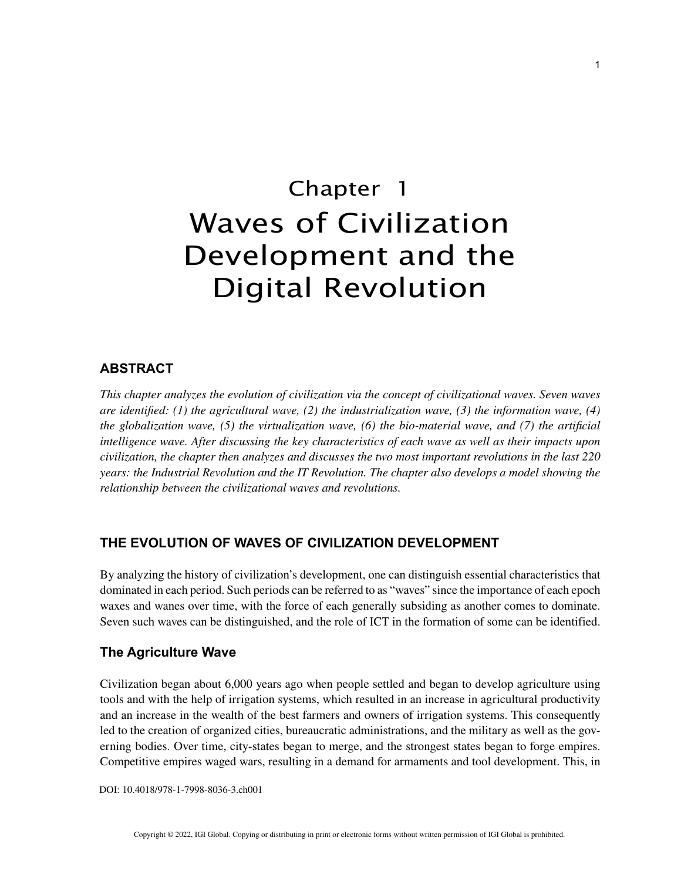# Chapter 1 Waves of Civilization Development and the Digital Revolution

# **ABSTRACT**

*This chapter analyzes the evolution of civilization via the concept of civilizational waves. Seven waves are identified: (1) the agricultural wave, (2) the industrialization wave, (3) the information wave, (4) the globalization wave, (5) the virtualization wave, (6) the bio-material wave, and (7) the artificial intelligence wave. After discussing the key characteristics of each wave as well as their impacts upon civilization, the chapter then analyzes and discusses the two most important revolutions in the last 220 years: the Industrial Revolution and the IT Revolution. The chapter also develops a model showing the relationship between the civilizational waves and revolutions.*

## **THE EVOLUTION OF WAVES OF CIVILIZATION DEVELOPMENT**

By analyzing the history of civilization's development, one can distinguish essential characteristics that dominated in each period. Such periods can be referred to as "waves" since the importance of each epoch waxes and wanes over time, with the force of each generally subsiding as another comes to dominate. Seven such waves can be distinguished, and the role of ICT in the formation of some can be identified.

## **The Agriculture Wave**

Civilization began about 6,000 years ago when people settled and began to develop agriculture using tools and with the help of irrigation systems, which resulted in an increase in agricultural productivity and an increase in the wealth of the best farmers and owners of irrigation systems. This consequently led to the creation of organized cities, bureaucratic administrations, and the military as well as the governing bodies. Over time, city-states began to merge, and the strongest states began to forge empires. Competitive empires waged wars, resulting in a demand for armaments and tool development. This, in

DOI: 10.4018/978-1-7998-8036-3.ch001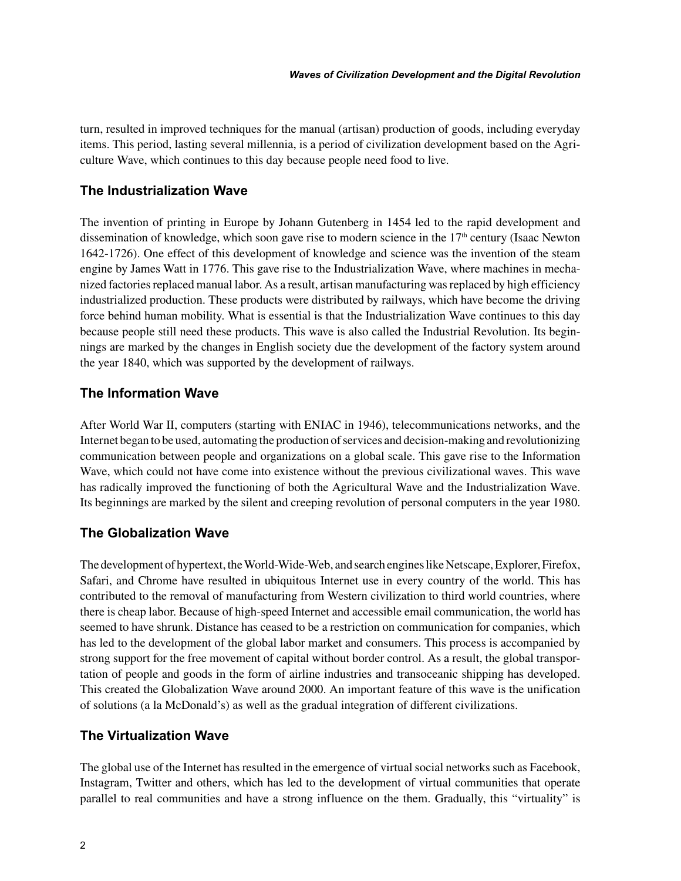turn, resulted in improved techniques for the manual (artisan) production of goods, including everyday items. This period, lasting several millennia, is a period of civilization development based on the Agriculture Wave, which continues to this day because people need food to live.

# **The Industrialization Wave**

The invention of printing in Europe by Johann Gutenberg in 1454 led to the rapid development and dissemination of knowledge, which soon gave rise to modern science in the  $17<sup>th</sup>$  century (Isaac Newton 1642-1726). One effect of this development of knowledge and science was the invention of the steam engine by James Watt in 1776. This gave rise to the Industrialization Wave, where machines in mechanized factories replaced manual labor. As a result, artisan manufacturing was replaced by high efficiency industrialized production. These products were distributed by railways, which have become the driving force behind human mobility. What is essential is that the Industrialization Wave continues to this day because people still need these products. This wave is also called the Industrial Revolution. Its beginnings are marked by the changes in English society due the development of the factory system around the year 1840, which was supported by the development of railways.

# **The Information Wave**

After World War II, computers (starting with ENIAC in 1946), telecommunications networks, and the Internet began to be used, automating the production of services and decision-making and revolutionizing communication between people and organizations on a global scale. This gave rise to the Information Wave, which could not have come into existence without the previous civilizational waves. This wave has radically improved the functioning of both the Agricultural Wave and the Industrialization Wave. Its beginnings are marked by the silent and creeping revolution of personal computers in the year 1980.

# **The Globalization Wave**

The development of hypertext, the World-Wide-Web, and search engines like Netscape, Explorer, Firefox, Safari, and Chrome have resulted in ubiquitous Internet use in every country of the world. This has contributed to the removal of manufacturing from Western civilization to third world countries, where there is cheap labor. Because of high-speed Internet and accessible email communication, the world has seemed to have shrunk. Distance has ceased to be a restriction on communication for companies, which has led to the development of the global labor market and consumers. This process is accompanied by strong support for the free movement of capital without border control. As a result, the global transportation of people and goods in the form of airline industries and transoceanic shipping has developed. This created the Globalization Wave around 2000. An important feature of this wave is the unification of solutions (a la McDonald's) as well as the gradual integration of different civilizations.

## **The Virtualization Wave**

The global use of the Internet has resulted in the emergence of virtual social networks such as Facebook, Instagram, Twitter and others, which has led to the development of virtual communities that operate parallel to real communities and have a strong influence on the them. Gradually, this "virtuality" is